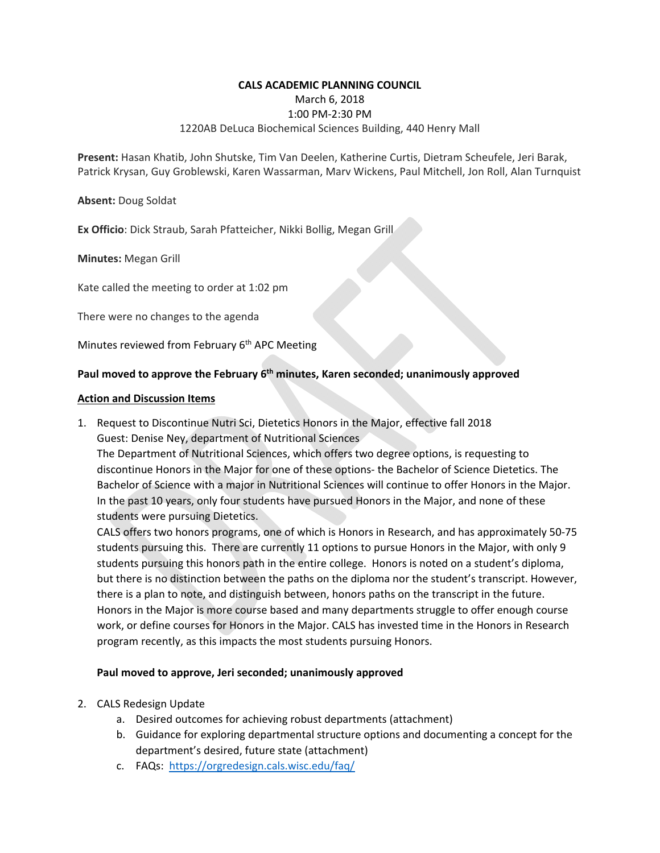### **CALS ACADEMIC PLANNING COUNCIL**

March 6, 2018

### 1:00 PM‐2:30 PM

# 1220AB DeLuca Biochemical Sciences Building, 440 Henry Mall

**Present:** Hasan Khatib, John Shutske, Tim Van Deelen, Katherine Curtis, Dietram Scheufele, Jeri Barak, Patrick Krysan, Guy Groblewski, Karen Wassarman, Marv Wickens, Paul Mitchell, Jon Roll, Alan Turnquist

**Absent:** Doug Soldat

**Ex Officio**: Dick Straub, Sarah Pfatteicher, Nikki Bollig, Megan Grill

**Minutes:** Megan Grill

Kate called the meeting to order at 1:02 pm

There were no changes to the agenda

Minutes reviewed from February 6<sup>th</sup> APC Meeting

# Paul moved to approve the February 6<sup>th</sup> minutes, Karen seconded; unanimously approved

### **Action and Discussion Items**

1. Request to Discontinue Nutri Sci, Dietetics Honors in the Major, effective fall 2018 Guest: Denise Ney, department of Nutritional Sciences

The Department of Nutritional Sciences, which offers two degree options, is requesting to discontinue Honors in the Major for one of these options‐ the Bachelor of Science Dietetics. The Bachelor of Science with a major in Nutritional Sciences will continue to offer Honors in the Major. In the past 10 years, only four students have pursued Honors in the Major, and none of these students were pursuing Dietetics.

CALS offers two honors programs, one of which is Honors in Research, and has approximately 50‐75 students pursuing this. There are currently 11 options to pursue Honors in the Major, with only 9 students pursuing this honors path in the entire college. Honors is noted on a student's diploma, but there is no distinction between the paths on the diploma nor the student's transcript. However, there is a plan to note, and distinguish between, honors paths on the transcript in the future. Honors in the Major is more course based and many departments struggle to offer enough course work, or define courses for Honors in the Major. CALS has invested time in the Honors in Research program recently, as this impacts the most students pursuing Honors.

# **Paul moved to approve, Jeri seconded; unanimously approved**

- 2. CALS Redesign Update
	- a. Desired outcomes for achieving robust departments (attachment)
	- b. Guidance for exploring departmental structure options and documenting a concept for the department's desired, future state (attachment)
	- c. FAQs: https://orgredesign.cals.wisc.edu/faq/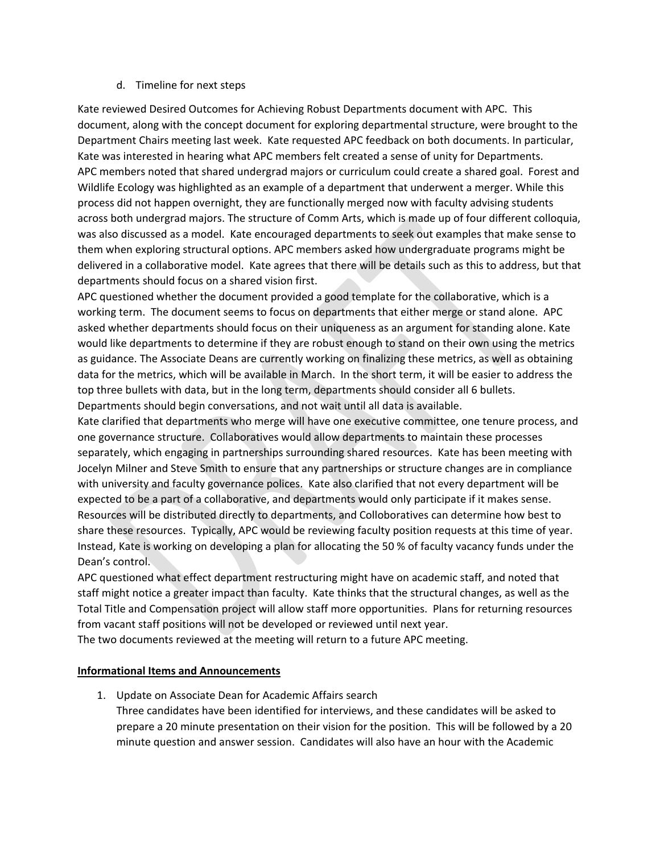## d. Timeline for next steps

Kate reviewed Desired Outcomes for Achieving Robust Departments document with APC. This document, along with the concept document for exploring departmental structure, were brought to the Department Chairs meeting last week. Kate requested APC feedback on both documents. In particular, Kate was interested in hearing what APC members felt created a sense of unity for Departments. APC members noted that shared undergrad majors or curriculum could create a shared goal. Forest and Wildlife Ecology was highlighted as an example of a department that underwent a merger. While this process did not happen overnight, they are functionally merged now with faculty advising students across both undergrad majors. The structure of Comm Arts, which is made up of four different colloquia, was also discussed as a model. Kate encouraged departments to seek out examples that make sense to them when exploring structural options. APC members asked how undergraduate programs might be delivered in a collaborative model. Kate agrees that there will be details such as this to address, but that departments should focus on a shared vision first.

APC questioned whether the document provided a good template for the collaborative, which is a working term. The document seems to focus on departments that either merge or stand alone. APC asked whether departments should focus on their uniqueness as an argument for standing alone. Kate would like departments to determine if they are robust enough to stand on their own using the metrics as guidance. The Associate Deans are currently working on finalizing these metrics, as well as obtaining data for the metrics, which will be available in March. In the short term, it will be easier to address the top three bullets with data, but in the long term, departments should consider all 6 bullets. Departments should begin conversations, and not wait until all data is available.

Kate clarified that departments who merge will have one executive committee, one tenure process, and one governance structure. Collaboratives would allow departments to maintain these processes separately, which engaging in partnerships surrounding shared resources. Kate has been meeting with Jocelyn Milner and Steve Smith to ensure that any partnerships or structure changes are in compliance with university and faculty governance polices. Kate also clarified that not every department will be expected to be a part of a collaborative, and departments would only participate if it makes sense. Resources will be distributed directly to departments, and Colloboratives can determine how best to share these resources. Typically, APC would be reviewing faculty position requests at this time of year. Instead, Kate is working on developing a plan for allocating the 50 % of faculty vacancy funds under the Dean's control.

APC questioned what effect department restructuring might have on academic staff, and noted that staff might notice a greater impact than faculty. Kate thinks that the structural changes, as well as the Total Title and Compensation project will allow staff more opportunities. Plans for returning resources from vacant staff positions will not be developed or reviewed until next year.

The two documents reviewed at the meeting will return to a future APC meeting.

# **Informational Items and Announcements**

1. Update on Associate Dean for Academic Affairs search

Three candidates have been identified for interviews, and these candidates will be asked to prepare a 20 minute presentation on their vision for the position. This will be followed by a 20 minute question and answer session. Candidates will also have an hour with the Academic